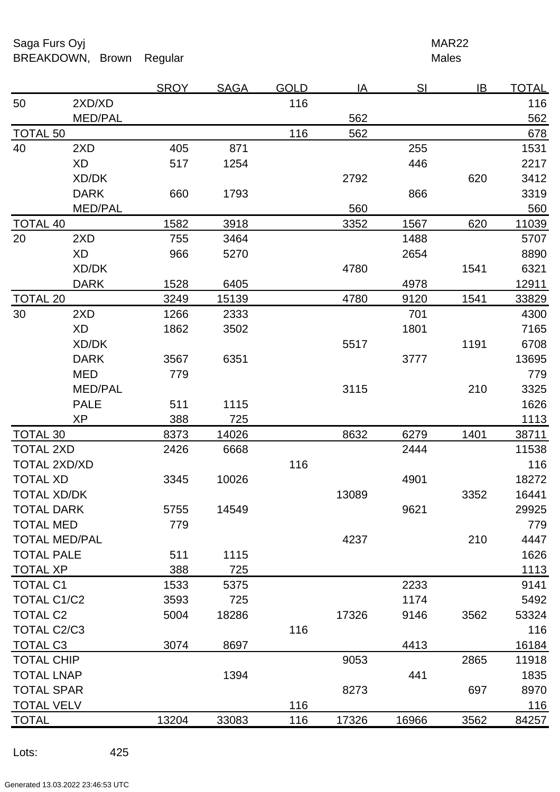Saga Furs Oyj **MAR22** BREAKDOWN, Brown Regular Males

|                      |                | <b>SROY</b> | <b>SAGA</b> | <b>GOLD</b> | IA    | SI    | IB   | <b>TOTAL</b> |
|----------------------|----------------|-------------|-------------|-------------|-------|-------|------|--------------|
| 50                   | 2XD/XD         |             |             | 116         |       |       |      | 116          |
|                      | <b>MED/PAL</b> |             |             |             | 562   |       |      | 562          |
| <b>TOTAL 50</b>      |                |             |             | 116         | 562   |       |      | 678          |
| 40                   | 2XD            | 405         | 871         |             |       | 255   |      | 1531         |
|                      | <b>XD</b>      | 517         | 1254        |             |       | 446   |      | 2217         |
|                      | XD/DK          |             |             |             | 2792  |       | 620  | 3412         |
|                      | <b>DARK</b>    | 660         | 1793        |             |       | 866   |      | 3319         |
|                      | <b>MED/PAL</b> |             |             |             | 560   |       |      | 560          |
| <b>TOTAL 40</b>      |                | 1582        | 3918        |             | 3352  | 1567  | 620  | 11039        |
| 20                   | 2XD            | 755         | 3464        |             |       | 1488  |      | 5707         |
|                      | <b>XD</b>      | 966         | 5270        |             |       | 2654  |      | 8890         |
|                      | XD/DK          |             |             |             | 4780  |       | 1541 | 6321         |
|                      | <b>DARK</b>    | 1528        | 6405        |             |       | 4978  |      | 12911        |
| <b>TOTAL 20</b>      |                | 3249        | 15139       |             | 4780  | 9120  | 1541 | 33829        |
| 30                   | 2XD            | 1266        | 2333        |             |       | 701   |      | 4300         |
|                      | <b>XD</b>      | 1862        | 3502        |             |       | 1801  |      | 7165         |
|                      | XD/DK          |             |             |             | 5517  |       | 1191 | 6708         |
|                      | <b>DARK</b>    | 3567        | 6351        |             |       | 3777  |      | 13695        |
|                      | <b>MED</b>     | 779         |             |             |       |       |      | 779          |
|                      | <b>MED/PAL</b> |             |             |             | 3115  |       | 210  | 3325         |
|                      | <b>PALE</b>    | 511         | 1115        |             |       |       |      | 1626         |
|                      | <b>XP</b>      | 388         | 725         |             |       |       |      | 1113         |
| <b>TOTAL 30</b>      |                | 8373        | 14026       |             | 8632  | 6279  | 1401 | 38711        |
| <b>TOTAL 2XD</b>     |                | 2426        | 6668        |             |       | 2444  |      | 11538        |
| <b>TOTAL 2XD/XD</b>  |                |             |             | 116         |       |       |      | 116          |
| <b>TOTAL XD</b>      |                | 3345        | 10026       |             |       | 4901  |      | 18272        |
| <b>TOTAL XD/DK</b>   |                |             |             |             | 13089 |       | 3352 | 16441        |
| <b>TOTAL DARK</b>    |                | 5755        | 14549       |             |       | 9621  |      | 29925        |
| <b>TOTAL MED</b>     |                | 779         |             |             |       |       |      | 779          |
| <b>TOTAL MED/PAL</b> |                |             |             |             | 4237  |       | 210  | 4447         |
| <b>TOTAL PALE</b>    |                | 511         | 1115        |             |       |       |      | 1626         |
| <b>TOTAL XP</b>      |                | 388         | 725         |             |       |       |      | 1113         |
| <b>TOTAL C1</b>      |                | 1533        | 5375        |             |       | 2233  |      | 9141         |
| <b>TOTAL C1/C2</b>   |                | 3593        | 725         |             |       | 1174  |      | 5492         |
| <b>TOTAL C2</b>      |                | 5004        | 18286       |             | 17326 | 9146  | 3562 | 53324        |
| <b>TOTAL C2/C3</b>   |                |             |             | 116         |       |       |      | 116          |
| <b>TOTAL C3</b>      |                | 3074        | 8697        |             |       | 4413  |      | 16184        |
| <b>TOTAL CHIP</b>    |                |             |             |             | 9053  |       | 2865 | 11918        |
| <b>TOTAL LNAP</b>    |                |             | 1394        |             |       | 441   |      | 1835         |
| <b>TOTAL SPAR</b>    |                |             |             |             | 8273  |       | 697  | 8970         |
| <b>TOTAL VELV</b>    |                |             |             | 116         |       |       |      | 116          |
| <b>TOTAL</b>         |                | 13204       | 33083       | 116         | 17326 | 16966 | 3562 | 84257        |

Lots: 425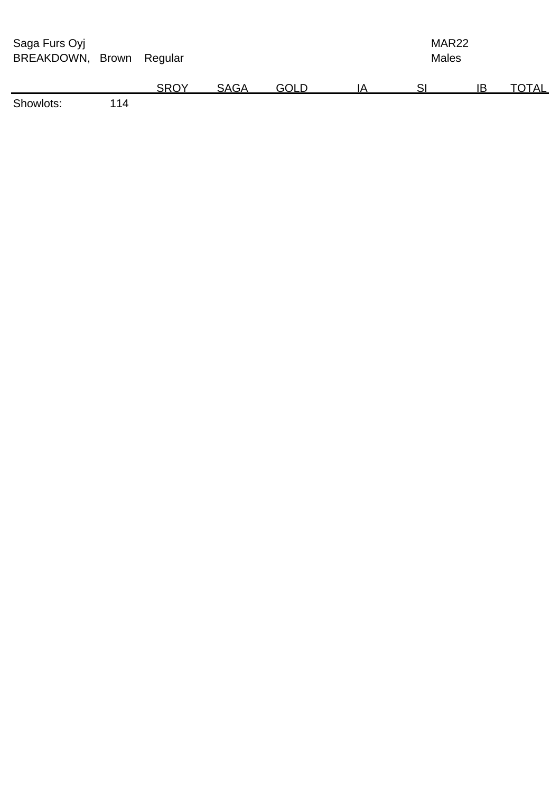| Saga Furs Oyj<br>BREAKDOWN, Brown |     | Regular     |             |             |    |  |    | MAR <sub>22</sub><br><b>Males</b> |  |  |
|-----------------------------------|-----|-------------|-------------|-------------|----|--|----|-----------------------------------|--|--|
|                                   |     | <b>SROY</b> | <b>SAGA</b> | <b>GOLD</b> | IΑ |  | IB | TOTAL                             |  |  |
| Showlots:                         | 114 |             |             |             |    |  |    |                                   |  |  |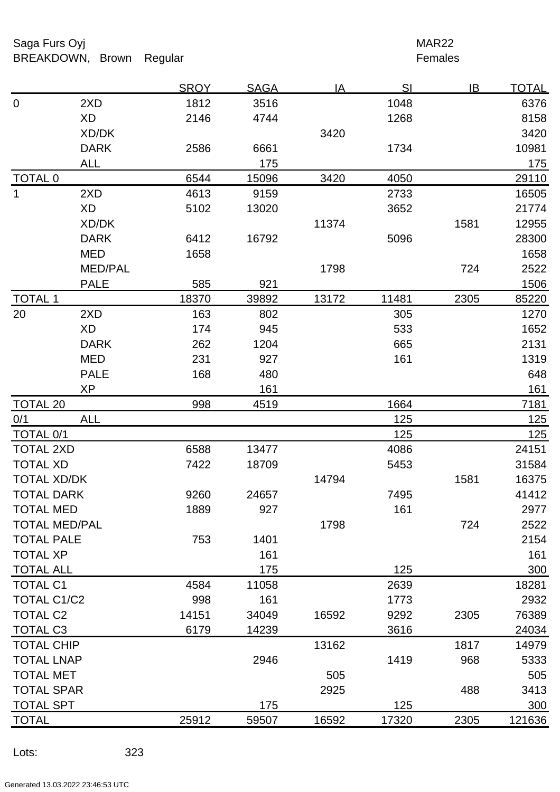Saga Furs Oyj **MAR22** BREAKDOWN, Brown Regular **Females** 

|                      |                | <b>SROY</b> | <b>SAGA</b> | $\overline{A}$ | SI    | IB   | <u>TOTAL</u> |
|----------------------|----------------|-------------|-------------|----------------|-------|------|--------------|
| $\mathbf 0$          | 2XD            | 1812        | 3516        |                | 1048  |      | 6376         |
|                      | <b>XD</b>      | 2146        | 4744        |                | 1268  |      | 8158         |
|                      | XD/DK          |             |             | 3420           |       |      | 3420         |
|                      | <b>DARK</b>    | 2586        | 6661        |                | 1734  |      | 10981        |
|                      | <b>ALL</b>     |             | 175         |                |       |      | 175          |
| <b>TOTAL 0</b>       |                | 6544        | 15096       | 3420           | 4050  |      | 29110        |
| $\mathbf 1$          | 2XD            | 4613        | 9159        |                | 2733  |      | 16505        |
|                      | <b>XD</b>      | 5102        | 13020       |                | 3652  |      | 21774        |
|                      | XD/DK          |             |             | 11374          |       | 1581 | 12955        |
|                      | <b>DARK</b>    | 6412        | 16792       |                | 5096  |      | 28300        |
|                      | <b>MED</b>     | 1658        |             |                |       |      | 1658         |
|                      | <b>MED/PAL</b> |             |             | 1798           |       | 724  | 2522         |
|                      | <b>PALE</b>    | 585         | 921         |                |       |      | 1506         |
| <b>TOTAL 1</b>       |                | 18370       | 39892       | 13172          | 11481 | 2305 | 85220        |
| 20                   | 2XD            | 163         | 802         |                | 305   |      | 1270         |
|                      | <b>XD</b>      | 174         | 945         |                | 533   |      | 1652         |
|                      | <b>DARK</b>    | 262         | 1204        |                | 665   |      | 2131         |
|                      | <b>MED</b>     | 231         | 927         |                | 161   |      | 1319         |
|                      | <b>PALE</b>    | 168         | 480         |                |       |      | 648          |
|                      | <b>XP</b>      |             | 161         |                |       |      | 161          |
| <b>TOTAL 20</b>      |                | 998         | 4519        |                | 1664  |      | 7181         |
| 0/1                  | <b>ALL</b>     |             |             |                | 125   |      | 125          |
| <b>TOTAL 0/1</b>     |                |             |             |                | 125   |      | 125          |
| <b>TOTAL 2XD</b>     |                | 6588        | 13477       |                | 4086  |      | 24151        |
| <b>TOTAL XD</b>      |                | 7422        | 18709       |                | 5453  |      | 31584        |
| <b>TOTAL XD/DK</b>   |                |             |             | 14794          |       | 1581 | 16375        |
| <b>TOTAL DARK</b>    |                | 9260        | 24657       |                | 7495  |      | 41412        |
| <b>TOTAL MED</b>     |                | 1889        | 927         |                | 161   |      | 2977         |
| <b>TOTAL MED/PAL</b> |                |             |             | 1798           |       | 724  | 2522         |
| <b>TOTAL PALE</b>    |                | 753         | 1401        |                |       |      | 2154         |
| <b>TOTAL XP</b>      |                |             | 161         |                |       |      | 161          |
| <b>TOTAL ALL</b>     |                |             | 175         |                | 125   |      | 300          |
| <b>TOTAL C1</b>      |                | 4584        | 11058       |                | 2639  |      | 18281        |
| <b>TOTAL C1/C2</b>   |                | 998         | 161         |                | 1773  |      | 2932         |
| <b>TOTAL C2</b>      |                | 14151       | 34049       | 16592          | 9292  | 2305 | 76389        |
| <b>TOTAL C3</b>      |                | 6179        | 14239       |                | 3616  |      | 24034        |
| <b>TOTAL CHIP</b>    |                |             |             | 13162          |       | 1817 | 14979        |
| <b>TOTAL LNAP</b>    |                |             | 2946        |                | 1419  | 968  | 5333         |
| <b>TOTAL MET</b>     |                |             |             | 505            |       |      | 505          |
| <b>TOTAL SPAR</b>    |                |             |             | 2925           |       | 488  | 3413         |
| <b>TOTAL SPT</b>     |                |             | 175         |                | 125   |      | 300          |
| <b>TOTAL</b>         |                | 25912       | 59507       | 16592          | 17320 | 2305 | 121636       |
|                      |                |             |             |                |       |      |              |

Lots: 323